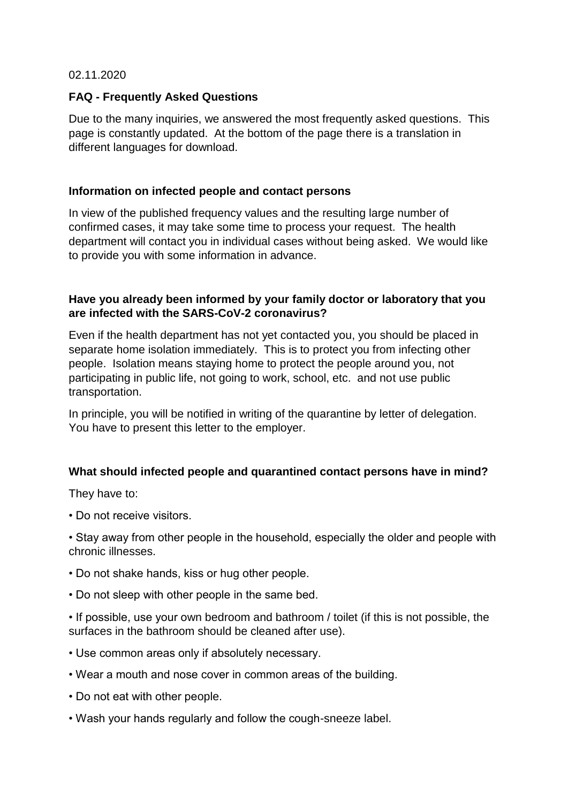02.11.2020

### **FAQ - Frequently Asked Questions**

Due to the many inquiries, we answered the most frequently asked questions. This page is constantly updated. At the bottom of the page there is a translation in different languages for download.

### **Information on infected people and contact persons**

In view of the published frequency values and the resulting large number of confirmed cases, it may take some time to process your request. The health department will contact you in individual cases without being asked. We would like to provide you with some information in advance.

### **Have you already been informed by your family doctor or laboratory that you are infected with the SARS-CoV-2 coronavirus?**

Even if the health department has not yet contacted you, you should be placed in separate home isolation immediately. This is to protect you from infecting other people. Isolation means staying home to protect the people around you, not participating in public life, not going to work, school, etc. and not use public transportation.

In principle, you will be notified in writing of the quarantine by letter of delegation. You have to present this letter to the employer.

# **What should infected people and quarantined contact persons have in mind?**

They have to:

• Do not receive visitors.

• Stay away from other people in the household, especially the older and people with chronic illnesses.

- Do not shake hands, kiss or hug other people.
- Do not sleep with other people in the same bed.
- If possible, use your own bedroom and bathroom / toilet (if this is not possible, the surfaces in the bathroom should be cleaned after use).
- Use common areas only if absolutely necessary.
- Wear a mouth and nose cover in common areas of the building.
- Do not eat with other people.
- Wash your hands regularly and follow the cough-sneeze label.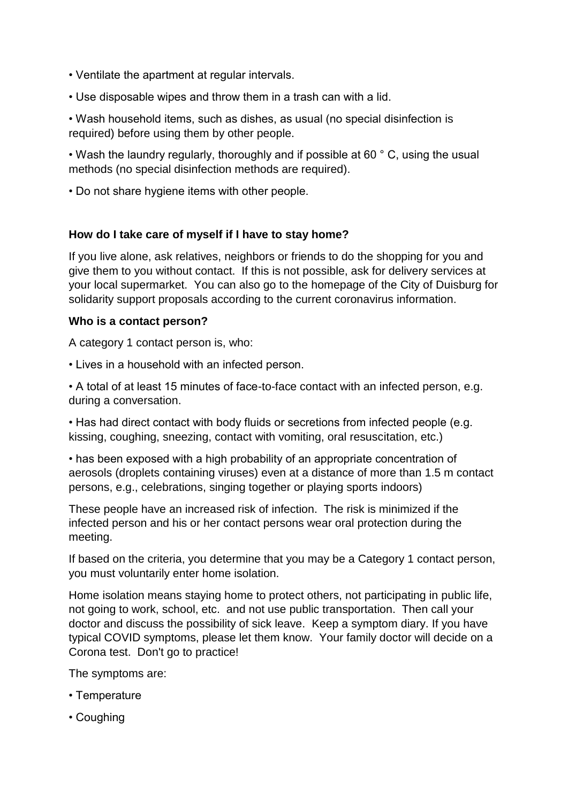- Ventilate the apartment at regular intervals.
- Use disposable wipes and throw them in a trash can with a lid.
- Wash household items, such as dishes, as usual (no special disinfection is required) before using them by other people.

• Wash the laundry regularly, thoroughly and if possible at 60 °C, using the usual methods (no special disinfection methods are required).

• Do not share hygiene items with other people.

### **How do I take care of myself if I have to stay home?**

If you live alone, ask relatives, neighbors or friends to do the shopping for you and give them to you without contact. If this is not possible, ask for delivery services at your local supermarket. You can also go to the homepage of the City of Duisburg for solidarity support proposals according to the current coronavirus information.

### **Who is a contact person?**

A category 1 contact person is, who:

• Lives in a household with an infected person.

• A total of at least 15 minutes of face-to-face contact with an infected person, e.g. during a conversation.

• Has had direct contact with body fluids or secretions from infected people (e.g. kissing, coughing, sneezing, contact with vomiting, oral resuscitation, etc.)

• has been exposed with a high probability of an appropriate concentration of aerosols (droplets containing viruses) even at a distance of more than 1.5 m contact persons, e.g., celebrations, singing together or playing sports indoors)

These people have an increased risk of infection. The risk is minimized if the infected person and his or her contact persons wear oral protection during the meeting.

If based on the criteria, you determine that you may be a Category 1 contact person, you must voluntarily enter home isolation.

Home isolation means staying home to protect others, not participating in public life, not going to work, school, etc. and not use public transportation. Then call your doctor and discuss the possibility of sick leave. Keep a symptom diary. If you have typical COVID symptoms, please let them know. Your family doctor will decide on a Corona test. Don't go to practice!

The symptoms are:

- Temperature
- Coughing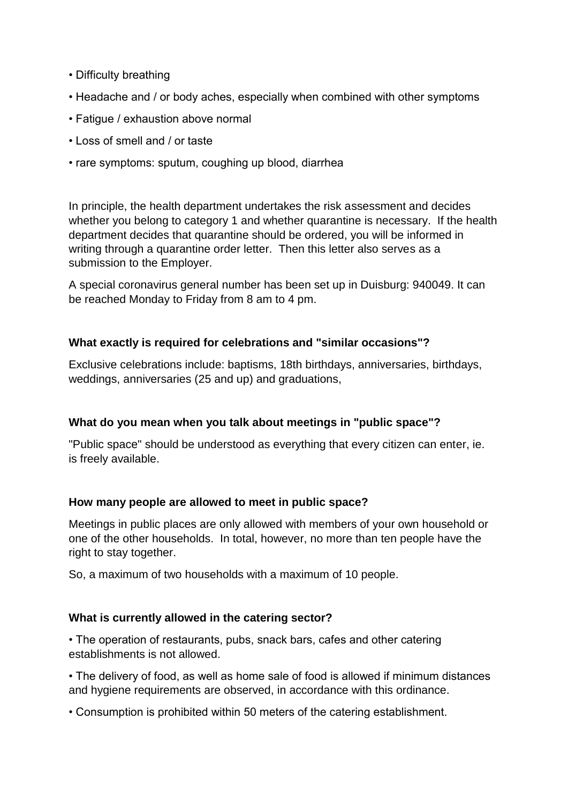- Difficulty breathing
- Headache and / or body aches, especially when combined with other symptoms
- Fatigue / exhaustion above normal
- Loss of smell and / or taste
- rare symptoms: sputum, coughing up blood, diarrhea

In principle, the health department undertakes the risk assessment and decides whether you belong to category 1 and whether quarantine is necessary. If the health department decides that quarantine should be ordered, you will be informed in writing through a quarantine order letter. Then this letter also serves as a submission to the Employer.

A special coronavirus general number has been set up in Duisburg: 940049. It can be reached Monday to Friday from 8 am to 4 pm.

### **What exactly is required for celebrations and "similar occasions"?**

Exclusive celebrations include: baptisms, 18th birthdays, anniversaries, birthdays, weddings, anniversaries (25 and up) and graduations,

# **What do you mean when you talk about meetings in "public space"?**

"Public space" should be understood as everything that every citizen can enter, ie. is freely available.

### **How many people are allowed to meet in public space?**

Meetings in public places are only allowed with members of your own household or one of the other households. In total, however, no more than ten people have the right to stay together.

So, a maximum of two households with a maximum of 10 people.

### **What is currently allowed in the catering sector?**

• The operation of restaurants, pubs, snack bars, cafes and other catering establishments is not allowed.

• The delivery of food, as well as home sale of food is allowed if minimum distances and hygiene requirements are observed, in accordance with this ordinance.

• Consumption is prohibited within 50 meters of the catering establishment.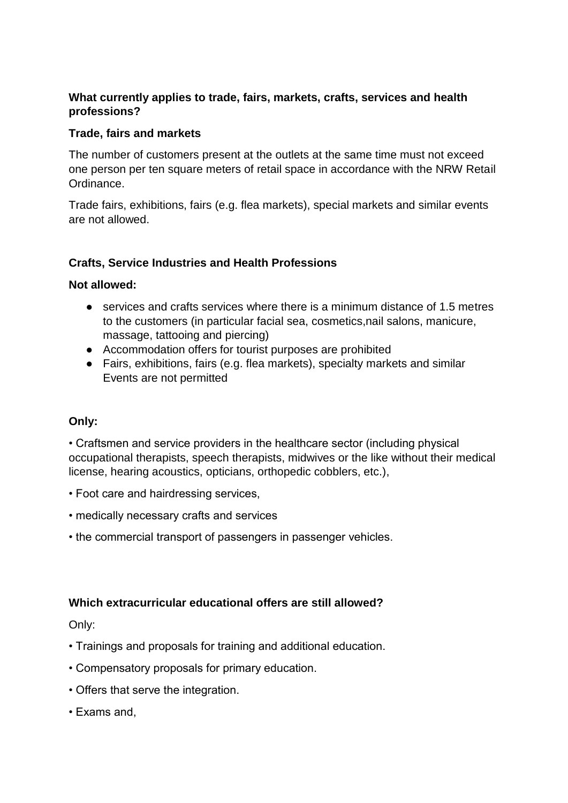# **What currently applies to trade, fairs, markets, crafts, services and health professions?**

### **Trade, fairs and markets**

The number of customers present at the outlets at the same time must not exceed one person per ten square meters of retail space in accordance with the NRW Retail Ordinance.

Trade fairs, exhibitions, fairs (e.g. flea markets), special markets and similar events are not allowed.

# **Crafts, Service Industries and Health Professions**

### **Not allowed:**

- services and crafts services where there is a minimum distance of 1.5 metres to the customers (in particular facial sea, cosmetics,nail salons, manicure, massage, tattooing and piercing)
- Accommodation offers for tourist purposes are prohibited
- Fairs, exhibitions, fairs (e.g. flea markets), specialty markets and similar Events are not permitted

### **Only:**

• Craftsmen and service providers in the healthcare sector (including physical occupational therapists, speech therapists, midwives or the like without their medical license, hearing acoustics, opticians, orthopedic cobblers, etc.),

- Foot care and hairdressing services,
- medically necessary crafts and services
- the commercial transport of passengers in passenger vehicles.

# **Which extracurricular educational offers are still allowed?**

### Only:

- Trainings and proposals for training and additional education.
- Compensatory proposals for primary education.
- Offers that serve the integration.
- Exams and,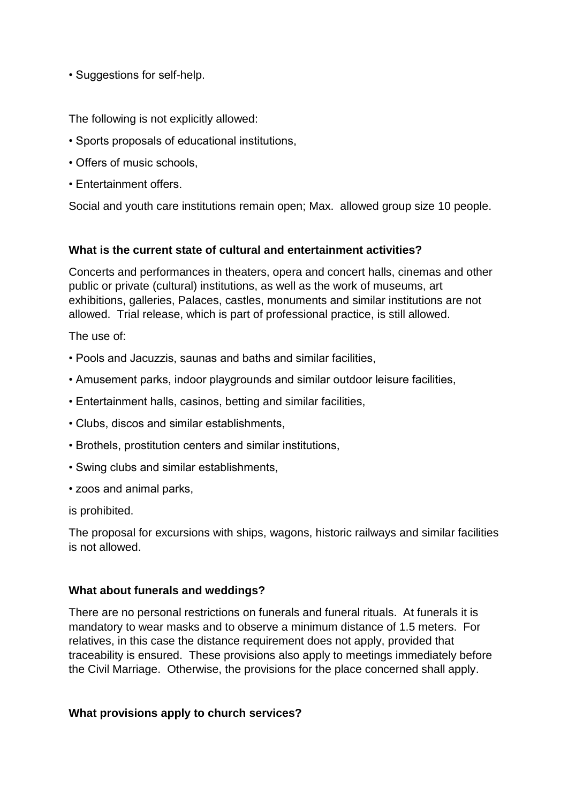• Suggestions for self-help.

The following is not explicitly allowed:

- Sports proposals of educational institutions,
- Offers of music schools,
- Entertainment offers.

Social and youth care institutions remain open; Max. allowed group size 10 people.

### **What is the current state of cultural and entertainment activities?**

Concerts and performances in theaters, opera and concert halls, cinemas and other public or private (cultural) institutions, as well as the work of museums, art exhibitions, galleries, Palaces, castles, monuments and similar institutions are not allowed. Trial release, which is part of professional practice, is still allowed.

The use of:

- Pools and Jacuzzis, saunas and baths and similar facilities,
- Amusement parks, indoor playgrounds and similar outdoor leisure facilities,
- Entertainment halls, casinos, betting and similar facilities,
- Clubs, discos and similar establishments,
- Brothels, prostitution centers and similar institutions,
- Swing clubs and similar establishments,
- zoos and animal parks,

is prohibited.

The proposal for excursions with ships, wagons, historic railways and similar facilities is not allowed.

### **What about funerals and weddings?**

There are no personal restrictions on funerals and funeral rituals. At funerals it is mandatory to wear masks and to observe a minimum distance of 1.5 meters. For relatives, in this case the distance requirement does not apply, provided that traceability is ensured. These provisions also apply to meetings immediately before the Civil Marriage. Otherwise, the provisions for the place concerned shall apply.

### **What provisions apply to church services?**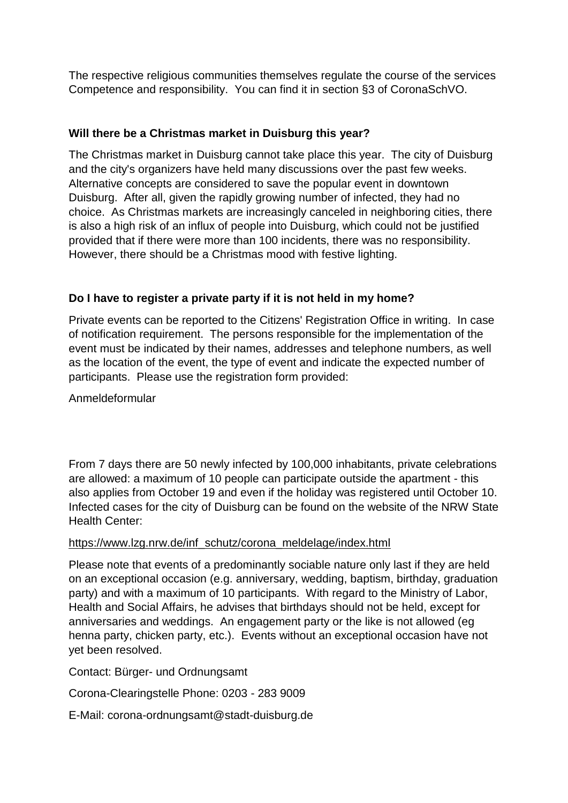The respective religious communities themselves regulate the course of the services Competence and responsibility. You can find it in section §3 of CoronaSchVO.

## **Will there be a Christmas market in Duisburg this year?**

The Christmas market in Duisburg cannot take place this year. The city of Duisburg and the city's organizers have held many discussions over the past few weeks. Alternative concepts are considered to save the popular event in downtown Duisburg. After all, given the rapidly growing number of infected, they had no choice. As Christmas markets are increasingly canceled in neighboring cities, there is also a high risk of an influx of people into Duisburg, which could not be justified provided that if there were more than 100 incidents, there was no responsibility. However, there should be a Christmas mood with festive lighting.

# **Do I have to register a private party if it is not held in my home?**

Private events can be reported to the Citizens' Registration Office in writing. In case of notification requirement. The persons responsible for the implementation of the event must be indicated by their names, addresses and telephone numbers, as well as the location of the event, the type of event and indicate the expected number of participants. Please use the registration form provided:

Anmeldeformular

From 7 days there are 50 newly infected by 100,000 inhabitants, private celebrations are allowed: a maximum of 10 people can participate outside the apartment - this also applies from October 19 and even if the holiday was registered until October 10. Infected cases for the city of Duisburg can be found on the website of the NRW State Health Center:

### https://www.lzg.nrw.de/inf\_schutz/corona\_meldelage/index.html

Please note that events of a predominantly sociable nature only last if they are held on an exceptional occasion (e.g. anniversary, wedding, baptism, birthday, graduation party) and with a maximum of 10 participants. With regard to the Ministry of Labor, Health and Social Affairs, he advises that birthdays should not be held, except for anniversaries and weddings. An engagement party or the like is not allowed (eg henna party, chicken party, etc.). Events without an exceptional occasion have not yet been resolved.

Contact: Bürger- und Ordnungsamt

Corona-Clearingstelle Phone: 0203 - 283 9009

E-Mail: corona-ordnungsamt@stadt-duisburg.de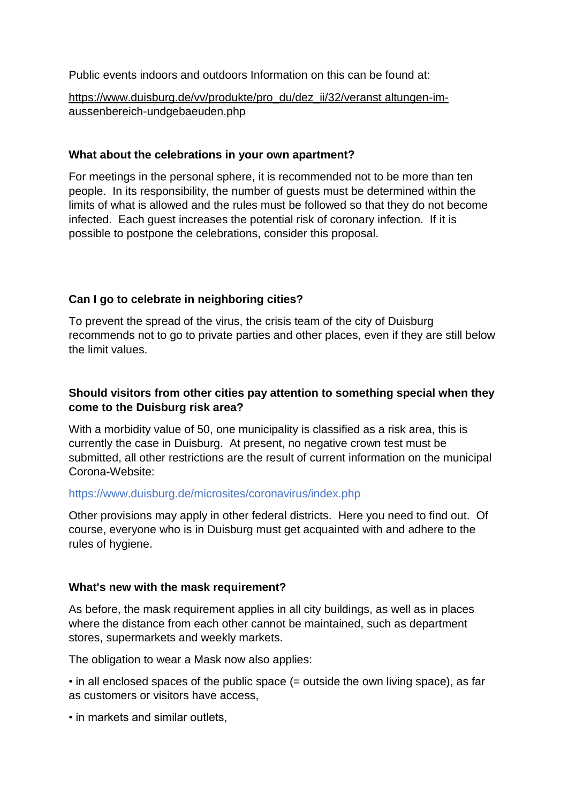Public events indoors and outdoors Information on this can be found at:

https://www.duisburg.de/vv/produkte/pro\_du/dez\_ii/32/veranst altungen-imaussenbereich-undgebaeuden.php

### **What about the celebrations in your own apartment?**

For meetings in the personal sphere, it is recommended not to be more than ten people. In its responsibility, the number of guests must be determined within the limits of what is allowed and the rules must be followed so that they do not become infected. Each guest increases the potential risk of coronary infection. If it is possible to postpone the celebrations, consider this proposal.

# **Can I go to celebrate in neighboring cities?**

To prevent the spread of the virus, the crisis team of the city of Duisburg recommends not to go to private parties and other places, even if they are still below the limit values.

# **Should visitors from other cities pay attention to something special when they come to the Duisburg risk area?**

With a morbidity value of 50, one municipality is classified as a risk area, this is currently the case in Duisburg. At present, no negative crown test must be submitted, all other restrictions are the result of current information on the municipal Corona-Website:

### https://www.duisburg.de/microsites/coronavirus/index.php

Other provisions may apply in other federal districts. Here you need to find out. Of course, everyone who is in Duisburg must get acquainted with and adhere to the rules of hygiene.

# **What's new with the mask requirement?**

As before, the mask requirement applies in all city buildings, as well as in places where the distance from each other cannot be maintained, such as department stores, supermarkets and weekly markets.

The obligation to wear a Mask now also applies:

• in all enclosed spaces of the public space (= outside the own living space), as far as customers or visitors have access,

• in markets and similar outlets,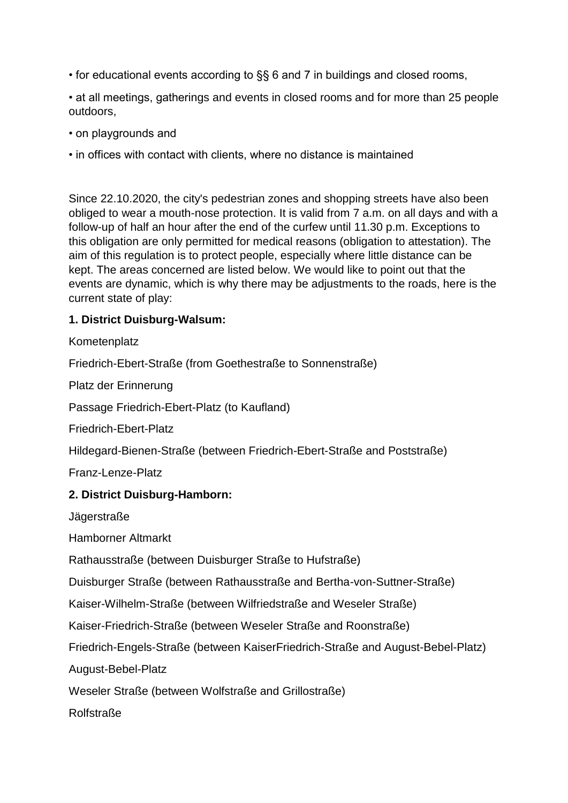• for educational events according to §§ 6 and 7 in buildings and closed rooms,

• at all meetings, gatherings and events in closed rooms and for more than 25 people outdoors,

• on playgrounds and

• in offices with contact with clients, where no distance is maintained

Since 22.10.2020, the city's pedestrian zones and shopping streets have also been obliged to wear a mouth-nose protection. It is valid from 7 a.m. on all days and with a follow-up of half an hour after the end of the curfew until 11.30 p.m. Exceptions to this obligation are only permitted for medical reasons (obligation to attestation). The aim of this regulation is to protect people, especially where little distance can be kept. The areas concerned are listed below. We would like to point out that the events are dynamic, which is why there may be adjustments to the roads, here is the current state of play:

# **1. District Duisburg-Walsum:**

**Kometenplatz** 

Friedrich-Ebert-Straße (from Goethestraße to Sonnenstraße)

Platz der Erinnerung

Passage Friedrich-Ebert-Platz (to Kaufland)

Friedrich-Ebert-Platz

Hildegard-Bienen-Straße (between Friedrich-Ebert-Straße and Poststraße)

Franz-Lenze-Platz

# **2. District Duisburg-Hamborn:**

Jägerstraße

Hamborner Altmarkt

Rathausstraße (between Duisburger Straße to Hufstraße)

Duisburger Straße (between Rathausstraße and Bertha-von-Suttner-Straße)

Kaiser-Wilhelm-Straße (between Wilfriedstraße and Weseler Straße)

Kaiser-Friedrich-Straße (between Weseler Straße and Roonstraße)

Friedrich-Engels-Straße (between KaiserFriedrich-Straße and August-Bebel-Platz)

August-Bebel-Platz

Weseler Straße (between Wolfstraße and Grillostraße)

Rolfstraße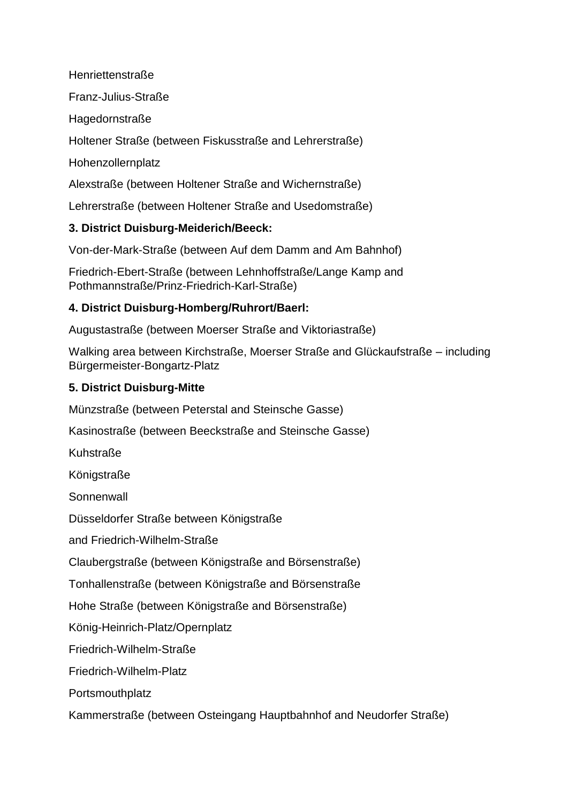Henriettenstraße

Franz-Julius-Straße

Hagedornstraße

Holtener Straße (between Fiskusstraße and Lehrerstraße)

Hohenzollernplatz

Alexstraße (between Holtener Straße and Wichernstraße)

Lehrerstraße (between Holtener Straße and Usedomstraße)

# **3. District Duisburg-Meiderich/Beeck:**

Von-der-Mark-Straße (between Auf dem Damm and Am Bahnhof)

Friedrich-Ebert-Straße (between Lehnhoffstraße/Lange Kamp and Pothmannstraße/Prinz-Friedrich-Karl-Straße)

# **4. District Duisburg-Homberg/Ruhrort/Baerl:**

Augustastraße (between Moerser Straße and Viktoriastraße)

Walking area between Kirchstraße, Moerser Straße and Glückaufstraße – including Bürgermeister-Bongartz-Platz

# **5. District Duisburg-Mitte**

Münzstraße (between Peterstal and Steinsche Gasse)

Kasinostraße (between Beeckstraße and Steinsche Gasse)

Kuhstraße

Königstraße

**Sonnenwall** 

Düsseldorfer Straße between Königstraße

and Friedrich-Wilhelm-Straße

Claubergstraße (between Königstraße and Börsenstraße)

Tonhallenstraße (between Königstraße and Börsenstraße

Hohe Straße (between Königstraße and Börsenstraße)

König-Heinrich-Platz/Opernplatz

Friedrich-Wilhelm-Straße

Friedrich-Wilhelm-Platz

Portsmouthplatz

Kammerstraße (between Osteingang Hauptbahnhof and Neudorfer Straße)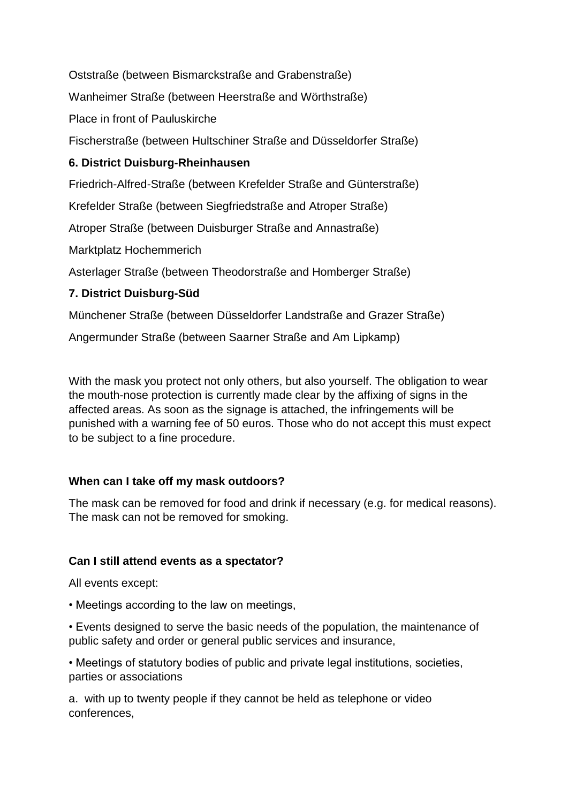Oststraße (between Bismarckstraße and Grabenstraße)

Wanheimer Straße (between Heerstraße and Wörthstraße)

Place in front of Pauluskirche

Fischerstraße (between Hultschiner Straße and Düsseldorfer Straße)

# **6. District Duisburg-Rheinhausen**

Friedrich-Alfred-Straße (between Krefelder Straße and Günterstraße)

Krefelder Straße (between Siegfriedstraße and Atroper Straße)

Atroper Straße (between Duisburger Straße and Annastraße)

Marktplatz Hochemmerich

Asterlager Straße (between Theodorstraße and Homberger Straße)

# **7. District Duisburg-Süd**

Münchener Straße (between Düsseldorfer Landstraße and Grazer Straße)

Angermunder Straße (between Saarner Straße and Am Lipkamp)

With the mask you protect not only others, but also yourself. The obligation to wear the mouth-nose protection is currently made clear by the affixing of signs in the affected areas. As soon as the signage is attached, the infringements will be punished with a warning fee of 50 euros. Those who do not accept this must expect to be subject to a fine procedure.

# **When can I take off my mask outdoors?**

The mask can be removed for food and drink if necessary (e.g. for medical reasons). The mask can not be removed for smoking.

# **Can I still attend events as a spectator?**

All events except:

• Meetings according to the law on meetings,

• Events designed to serve the basic needs of the population, the maintenance of public safety and order or general public services and insurance,

• Meetings of statutory bodies of public and private legal institutions, societies, parties or associations

a. with up to twenty people if they cannot be held as telephone or video conferences,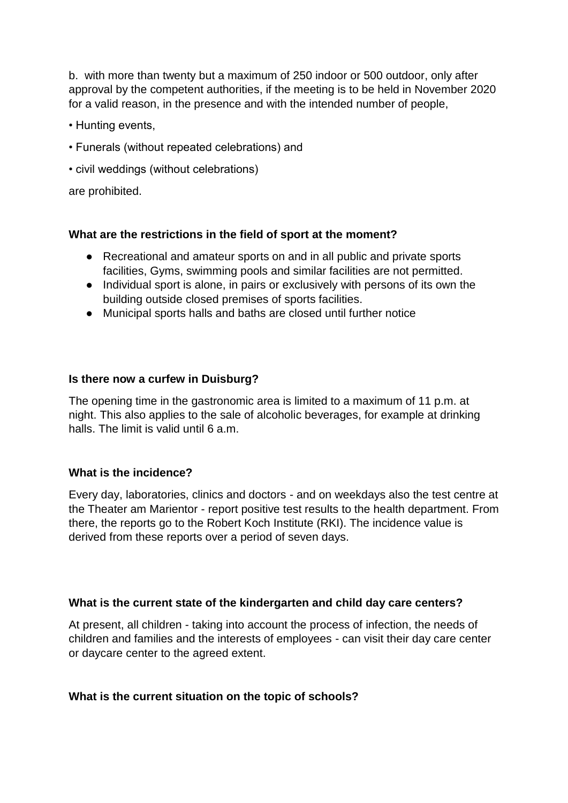b. with more than twenty but a maximum of 250 indoor or 500 outdoor, only after approval by the competent authorities, if the meeting is to be held in November 2020 for a valid reason, in the presence and with the intended number of people,

- Hunting events,
- Funerals (without repeated celebrations) and
- civil weddings (without celebrations)

are prohibited.

### **What are the restrictions in the field of sport at the moment?**

- Recreational and amateur sports on and in all public and private sports facilities, Gyms, swimming pools and similar facilities are not permitted.
- Individual sport is alone, in pairs or exclusively with persons of its own the building outside closed premises of sports facilities.
- Municipal sports halls and baths are closed until further notice

### **Is there now a curfew in Duisburg?**

The opening time in the gastronomic area is limited to a maximum of 11 p.m. at night. This also applies to the sale of alcoholic beverages, for example at drinking halls. The limit is valid until 6 a.m.

### **What is the incidence?**

Every day, laboratories, clinics and doctors - and on weekdays also the test centre at the Theater am Marientor - report positive test results to the health department. From there, the reports go to the Robert Koch Institute (RKI). The incidence value is derived from these reports over a period of seven days.

### **What is the current state of the kindergarten and child day care centers?**

At present, all children - taking into account the process of infection, the needs of children and families and the interests of employees - can visit their day care center or daycare center to the agreed extent.

### **What is the current situation on the topic of schools?**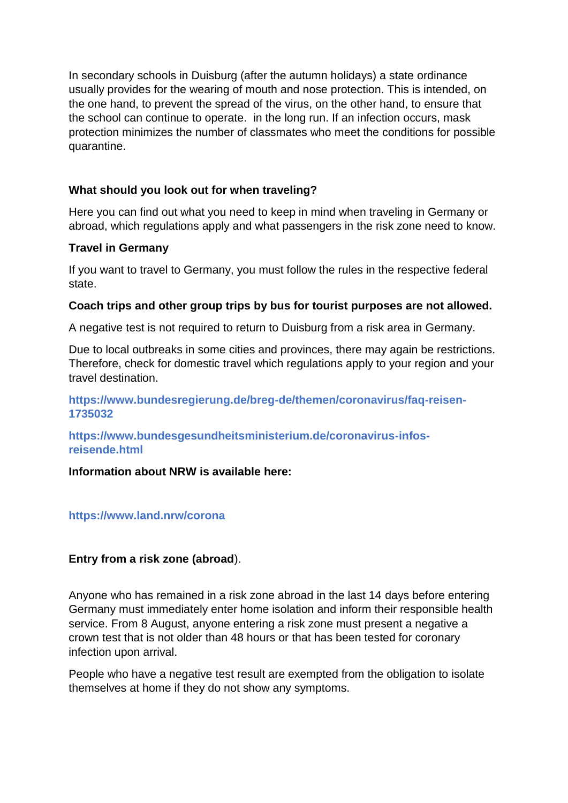In secondary schools in Duisburg (after the autumn holidays) a state ordinance usually provides for the wearing of mouth and nose protection. This is intended, on the one hand, to prevent the spread of the virus, on the other hand, to ensure that the school can continue to operate. in the long run. If an infection occurs, mask protection minimizes the number of classmates who meet the conditions for possible quarantine.

## **What should you look out for when traveling?**

Here you can find out what you need to keep in mind when traveling in Germany or abroad, which regulations apply and what passengers in the risk zone need to know.

### **Travel in Germany**

If you want to travel to Germany, you must follow the rules in the respective federal state.

### **Coach trips and other group trips by bus for tourist purposes are not allowed.**

A negative test is not required to return to Duisburg from a risk area in Germany.

Due to local outbreaks in some cities and provinces, there may again be restrictions. Therefore, check for domestic travel which regulations apply to your region and your travel destination.

### **https://www.bundesregierung.de/breg-de/themen/coronavirus/faq-reisen-1735032**

**https://www.bundesgesundheitsministerium.de/coronavirus-infosreisende.html**

### **Information about NRW is available here:**

### **https://www.land.nrw/corona**

### **Entry from a risk zone (abroad**).

Anyone who has remained in a risk zone abroad in the last 14 days before entering Germany must immediately enter home isolation and inform their responsible health service. From 8 August, anyone entering a risk zone must present a negative a crown test that is not older than 48 hours or that has been tested for coronary infection upon arrival.

People who have a negative test result are exempted from the obligation to isolate themselves at home if they do not show any symptoms.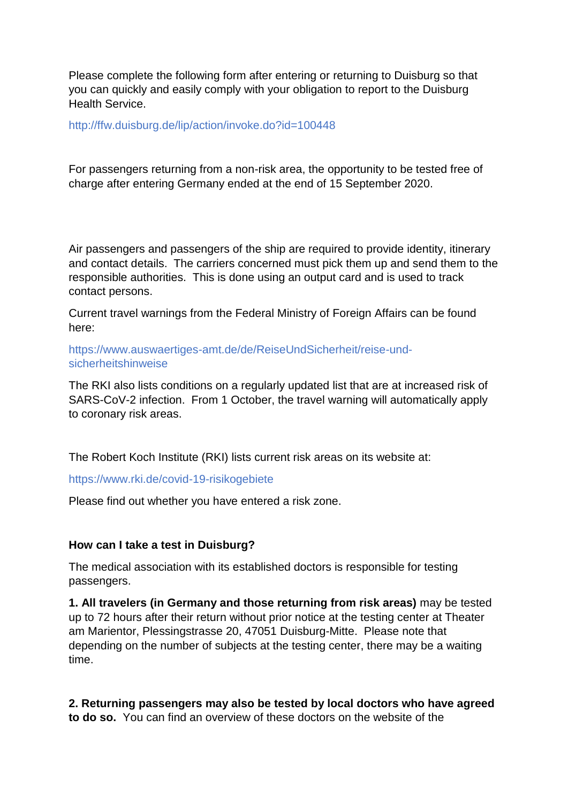Please complete the following form after entering or returning to Duisburg so that you can quickly and easily comply with your obligation to report to the Duisburg Health Service.

http://ffw.duisburg.de/lip/action/invoke.do?id=100448

For passengers returning from a non-risk area, the opportunity to be tested free of charge after entering Germany ended at the end of 15 September 2020.

Air passengers and passengers of the ship are required to provide identity, itinerary and contact details. The carriers concerned must pick them up and send them to the responsible authorities. This is done using an output card and is used to track contact persons.

Current travel warnings from the Federal Ministry of Foreign Affairs can be found here:

https://www.auswaertiges-amt.de/de/ReiseUndSicherheit/reise-undsicherheitshinweise

The RKI also lists conditions on a regularly updated list that are at increased risk of SARS-CoV-2 infection. From 1 October, the travel warning will automatically apply to coronary risk areas.

The Robert Koch Institute (RKI) lists current risk areas on its website at:

https://www.rki.de/covid-19-risikogebiete

Please find out whether you have entered a risk zone.

### **How can I take a test in Duisburg?**

The medical association with its established doctors is responsible for testing passengers.

**1. All travelers (in Germany and those returning from risk areas)** may be tested up to 72 hours after their return without prior notice at the testing center at Theater am Marientor, Plessingstrasse 20, 47051 Duisburg-Mitte. Please note that depending on the number of subjects at the testing center, there may be a waiting time.

**2. Returning passengers may also be tested by local doctors who have agreed to do so.** You can find an overview of these doctors on the website of the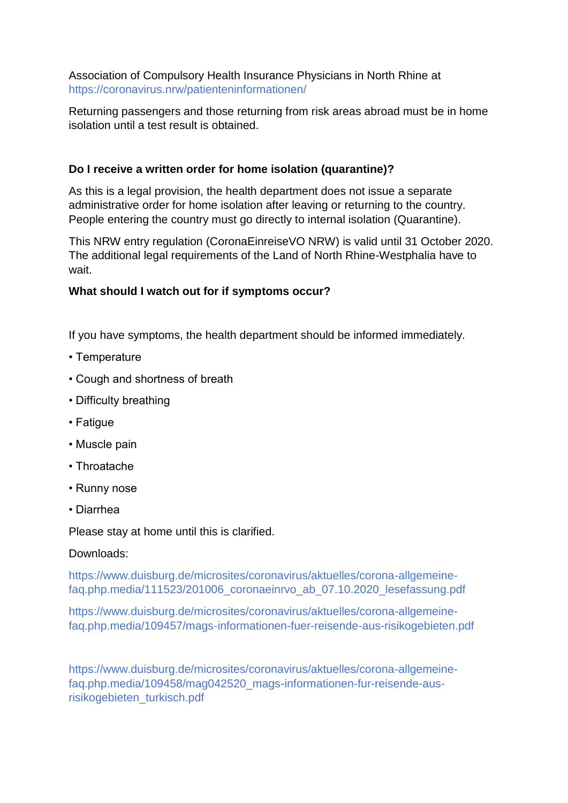Association of Compulsory Health Insurance Physicians in North Rhine at https://coronavirus.nrw/patienteninformationen/

Returning passengers and those returning from risk areas abroad must be in home isolation until a test result is obtained.

# **Do I receive a written order for home isolation (quarantine)?**

As this is a legal provision, the health department does not issue a separate administrative order for home isolation after leaving or returning to the country. People entering the country must go directly to internal isolation (Quarantine).

This NRW entry regulation (CoronaEinreiseVO NRW) is valid until 31 October 2020. The additional legal requirements of the Land of North Rhine-Westphalia have to wait.

# **What should I watch out for if symptoms occur?**

If you have symptoms, the health department should be informed immediately.

- Temperature
- Cough and shortness of breath
- Difficulty breathing
- Fatigue
- Muscle pain
- Throatache
- Runny nose
- Diarrhea

Please stay at home until this is clarified.

# Downloads:

https://www.duisburg.de/microsites/coronavirus/aktuelles/corona-allgemeinefaq.php.media/111523/201006\_coronaeinrvo\_ab\_07.10.2020\_lesefassung.pdf

https://www.duisburg.de/microsites/coronavirus/aktuelles/corona-allgemeinefaq.php.media/109457/mags-informationen-fuer-reisende-aus-risikogebieten.pdf

https://www.duisburg.de/microsites/coronavirus/aktuelles/corona-allgemeinefaq.php.media/109458/mag042520\_mags-informationen-fur-reisende-ausrisikogebieten\_turkisch.pdf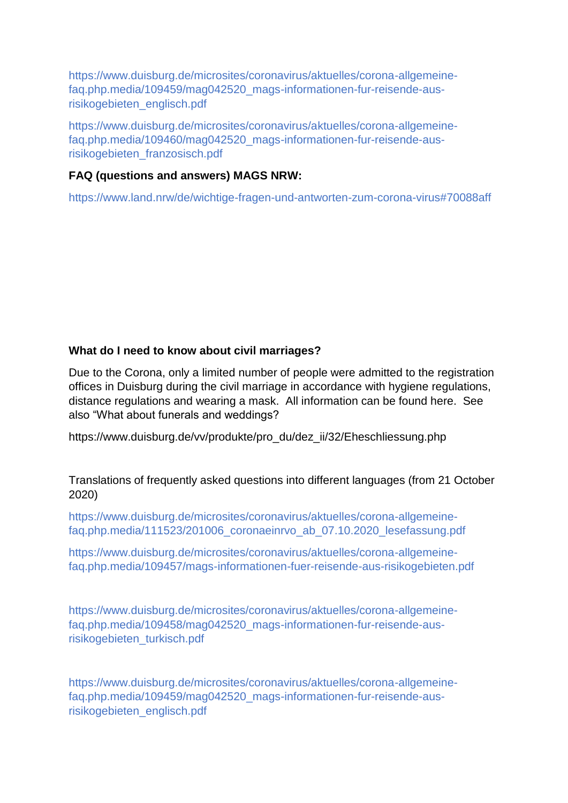https://www.duisburg.de/microsites/coronavirus/aktuelles/corona-allgemeinefaq.php.media/109459/mag042520\_mags-informationen-fur-reisende-ausrisikogebieten\_englisch.pdf

https://www.duisburg.de/microsites/coronavirus/aktuelles/corona-allgemeinefaq.php.media/109460/mag042520\_mags-informationen-fur-reisende-ausrisikogebieten\_franzosisch.pdf

### **FAQ (questions and answers) MAGS NRW:**

https://www.land.nrw/de/wichtige-fragen-und-antworten-zum-corona-virus#70088aff

### **What do I need to know about civil marriages?**

Due to the Corona, only a limited number of people were admitted to the registration offices in Duisburg during the civil marriage in accordance with hygiene regulations, distance regulations and wearing a mask. All information can be found here. See also "What about funerals and weddings?

https://www.duisburg.de/vv/produkte/pro\_du/dez\_ii/32/Eheschliessung.php

Translations of frequently asked questions into different languages (from 21 October 2020)

https://www.duisburg.de/microsites/coronavirus/aktuelles/corona-allgemeinefaq.php.media/111523/201006\_coronaeinrvo\_ab\_07.10.2020\_lesefassung.pdf

https://www.duisburg.de/microsites/coronavirus/aktuelles/corona-allgemeinefaq.php.media/109457/mags-informationen-fuer-reisende-aus-risikogebieten.pdf

https://www.duisburg.de/microsites/coronavirus/aktuelles/corona-allgemeinefaq.php.media/109458/mag042520\_mags-informationen-fur-reisende-ausrisikogebieten\_turkisch.pdf

https://www.duisburg.de/microsites/coronavirus/aktuelles/corona-allgemeinefaq.php.media/109459/mag042520\_mags-informationen-fur-reisende-ausrisikogebieten\_englisch.pdf